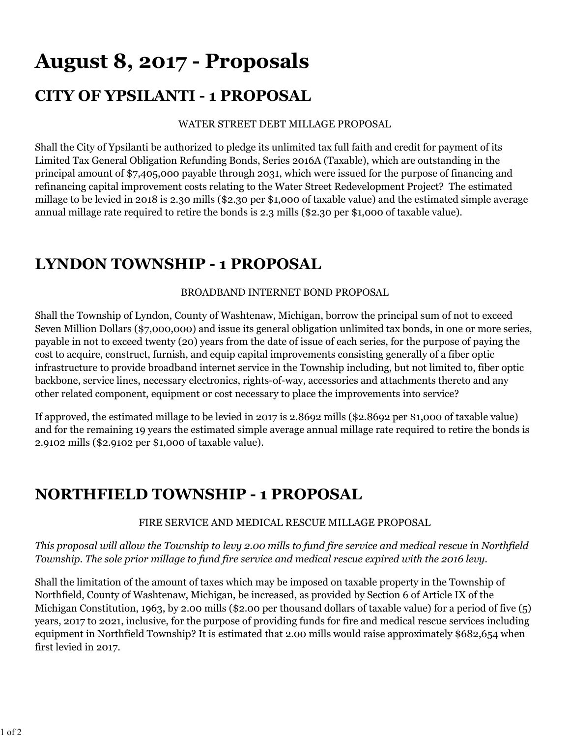# **August 8, 2017 - Proposals**

# **CITY OF YPSILANTI - 1 PROPOSAL**

#### WATER STREET DEBT MILLAGE PROPOSAL

Shall the City of Ypsilanti be authorized to pledge its unlimited tax full faith and credit for payment of its Limited Tax General Obligation Refunding Bonds, Series 2016A (Taxable), which are outstanding in the principal amount of \$7,405,000 payable through 2031, which were issued for the purpose of financing and refinancing capital improvement costs relating to the Water Street Redevelopment Project? The estimated millage to be levied in 2018 is 2.30 mills (\$2.30 per \$1,000 of taxable value) and the estimated simple average annual millage rate required to retire the bonds is 2.3 mills (\$2.30 per \$1,000 of taxable value).

## **LYNDON TOWNSHIP - 1 PROPOSAL**

## BROADBAND INTERNET BOND PROPOSAL

Shall the Township of Lyndon, County of Washtenaw, Michigan, borrow the principal sum of not to exceed Seven Million Dollars (\$7,000,000) and issue its general obligation unlimited tax bonds, in one or more series, payable in not to exceed twenty (20) years from the date of issue of each series, for the purpose of paying the cost to acquire, construct, furnish, and equip capital improvements consisting generally of a fiber optic infrastructure to provide broadband internet service in the Township including, but not limited to, fiber optic backbone, service lines, necessary electronics, rights-of-way, accessories and attachments thereto and any other related component, equipment or cost necessary to place the improvements into service?

If approved, the estimated millage to be levied in 2017 is 2.8692 mills (\$2.8692 per \$1,000 of taxable value) and for the remaining 19 years the estimated simple average annual millage rate required to retire the bonds is 2.9102 mills (\$2.9102 per \$1,000 of taxable value).

## **NORTHFIELD TOWNSHIP - 1 PROPOSAL**

## FIRE SERVICE AND MEDICAL RESCUE MILLAGE PROPOSAL

## *This proposal will allow the Township to levy 2.00 mills to fund fire service and medical rescue in Northfield Township. The sole prior millage to fund fire service and medical rescue expired with the 2016 levy.*

Shall the limitation of the amount of taxes which may be imposed on taxable property in the Township of Northfield, County of Washtenaw, Michigan, be increased, as provided by Section 6 of Article IX of the Michigan Constitution, 1963, by 2.00 mills (\$2.00 per thousand dollars of taxable value) for a period of five (5) years, 2017 to 2021, inclusive, for the purpose of providing funds for fire and medical rescue services including equipment in Northfield Township? It is estimated that 2.00 mills would raise approximately \$682,654 when first levied in 2017.